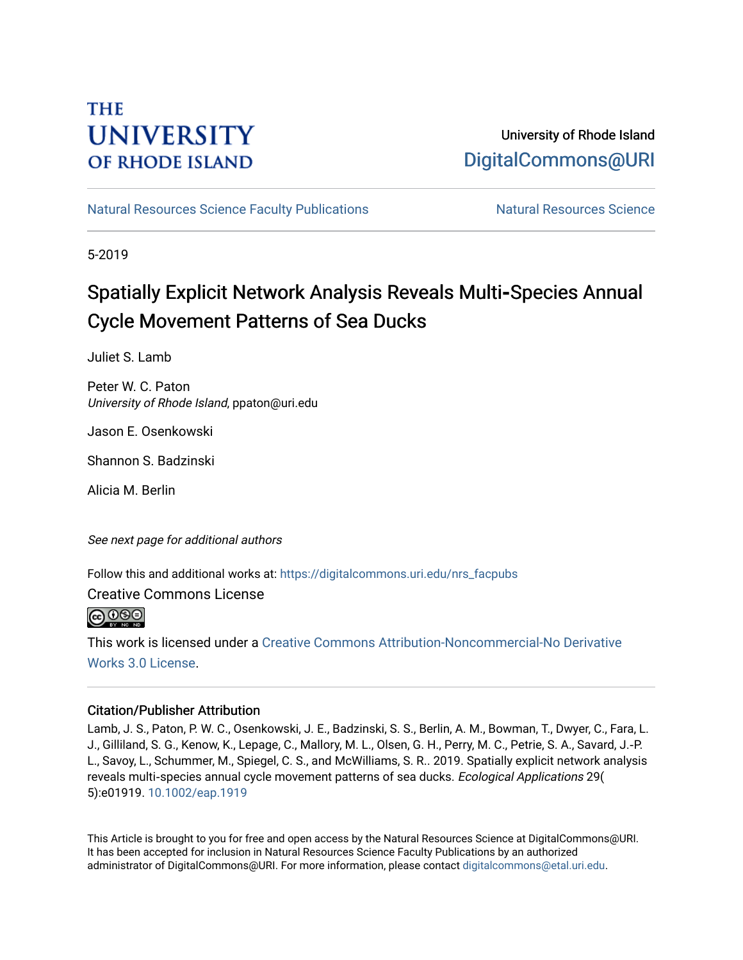## **THE UNIVERSITY OF RHODE ISLAND**

### University of Rhode Island [DigitalCommons@URI](https://digitalcommons.uri.edu/)

[Natural Resources Science Faculty Publications](https://digitalcommons.uri.edu/nrs_facpubs) Natural Resources Science

5-2019

## Spatially Explicit Network Analysis Reveals Multi**‐**Species Annual Cycle Movement Patterns of Sea Ducks

Juliet S. Lamb

Peter W. C. Paton University of Rhode Island, ppaton@uri.edu

Jason E. Osenkowski

Shannon S. Badzinski

Alicia M. Berlin

See next page for additional authors

Follow this and additional works at: [https://digitalcommons.uri.edu/nrs\\_facpubs](https://digitalcommons.uri.edu/nrs_facpubs?utm_source=digitalcommons.uri.edu%2Fnrs_facpubs%2F191&utm_medium=PDF&utm_campaign=PDFCoverPages) 

Creative Commons License

 $\bigcirc$  000

This work is licensed under a [Creative Commons Attribution-Noncommercial-No Derivative](https://creativecommons.org/licenses/by-nc-nd/3.0/)  [Works 3.0 License](https://creativecommons.org/licenses/by-nc-nd/3.0/).

#### Citation/Publisher Attribution

Lamb, J. S., Paton, P. W. C., Osenkowski, J. E., Badzinski, S. S., Berlin, A. M., Bowman, T., Dwyer, C., Fara, L. J., Gilliland, S. G., Kenow, K., Lepage, C., Mallory, M. L., Olsen, G. H., Perry, M. C., Petrie, S. A., Savard, J.‐P. L., Savoy, L., Schummer, M., Spiegel, C. S., and McWilliams, S. R.. 2019. Spatially explicit network analysis reveals multi‐species annual cycle movement patterns of sea ducks. Ecological Applications 29( 5):e01919. [10.1002/eap.1919](https://doi.org/10.1002/eap.1919) 

This Article is brought to you for free and open access by the Natural Resources Science at DigitalCommons@URI. It has been accepted for inclusion in Natural Resources Science Faculty Publications by an authorized administrator of DigitalCommons@URI. For more information, please contact [digitalcommons@etal.uri.edu.](mailto:digitalcommons@etal.uri.edu)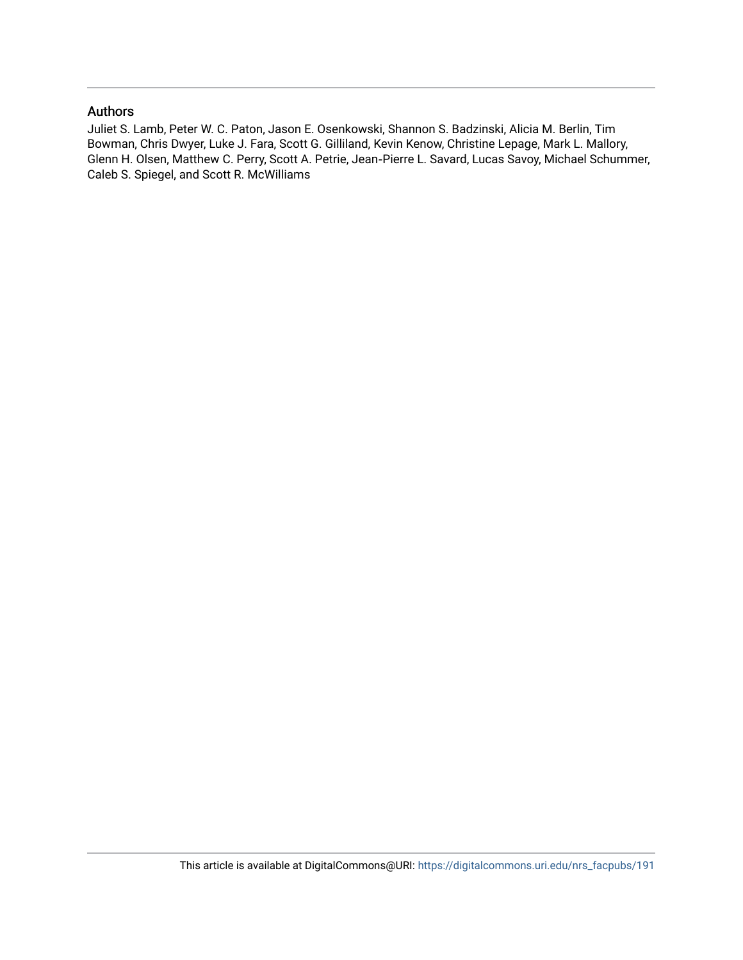#### Authors

Juliet S. Lamb, Peter W. C. Paton, Jason E. Osenkowski, Shannon S. Badzinski, Alicia M. Berlin, Tim Bowman, Chris Dwyer, Luke J. Fara, Scott G. Gilliland, Kevin Kenow, Christine Lepage, Mark L. Mallory, Glenn H. Olsen, Matthew C. Perry, Scott A. Petrie, Jean‐Pierre L. Savard, Lucas Savoy, Michael Schummer, Caleb S. Spiegel, and Scott R. McWilliams